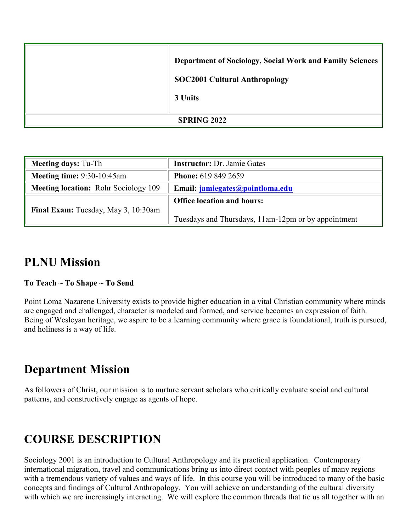| <b>Department of Sociology, Social Work and Family Sciences</b><br><b>SOC2001 Cultural Anthropology</b><br>3 Units |
|--------------------------------------------------------------------------------------------------------------------|
| <b>SPRING 2022</b>                                                                                                 |

| <b>Meeting days: Tu-Th</b>                  | <b>Instructor: Dr. Jamie Gates</b>                                                       |
|---------------------------------------------|------------------------------------------------------------------------------------------|
| <b>Meeting time: 9:30-10:45am</b>           | <b>Phone:</b> 619 849 2659                                                               |
| <b>Meeting location:</b> Rohr Sociology 109 | Email: jamiegates@pointloma.edu                                                          |
| Final Exam: Tuesday, May 3, 10:30am         | <b>Office location and hours:</b><br>Tuesdays and Thursdays, 11am-12pm or by appointment |

## **PLNU Mission**

## **To Teach ~ To Shape ~ To Send**

Point Loma Nazarene University exists to provide higher education in a vital Christian community where minds are engaged and challenged, character is modeled and formed, and service becomes an expression of faith. Being of Wesleyan heritage, we aspire to be a learning community where grace is foundational, truth is pursued, and holiness is a way of life.

## **Department Mission**

As followers of Christ, our mission is to nurture servant scholars who critically evaluate social and cultural patterns, and constructively engage as agents of hope.

# **COURSE DESCRIPTION**

Sociology 2001 is an introduction to Cultural Anthropology and its practical application. Contemporary international migration, travel and communications bring us into direct contact with peoples of many regions with a tremendous variety of values and ways of life. In this course you will be introduced to many of the basic concepts and findings of Cultural Anthropology. You will achieve an understanding of the cultural diversity with which we are increasingly interacting. We will explore the common threads that tie us all together with an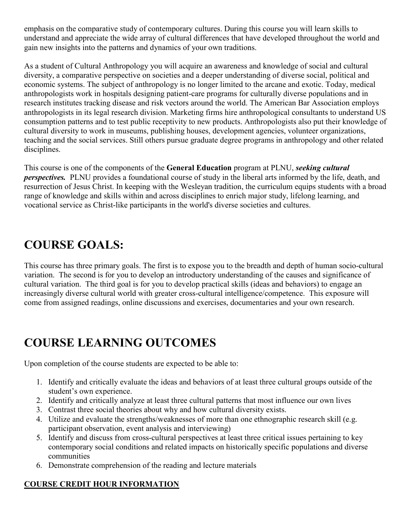emphasis on the comparative study of contemporary cultures. During this course you will learn skills to understand and appreciate the wide array of cultural differences that have developed throughout the world and gain new insights into the patterns and dynamics of your own traditions.

As a student of Cultural Anthropology you will acquire an awareness and knowledge of social and cultural diversity, a comparative perspective on societies and a deeper understanding of diverse social, political and economic systems. The subject of anthropology is no longer limited to the arcane and exotic. Today, medical anthropologists work in hospitals designing patient-care programs for culturally diverse populations and in research institutes tracking disease and risk vectors around the world. The American Bar Association employs anthropologists in its legal research division. Marketing firms hire anthropological consultants to understand US consumption patterns and to test public receptivity to new products. Anthropologists also put their knowledge of cultural diversity to work in museums, publishing houses, development agencies, volunteer organizations, teaching and the social services. Still others pursue graduate degree programs in anthropology and other related disciplines.

This course is one of the components of the **General Education** program at PLNU, *seeking cultural perspectives.* PLNU provides a foundational course of study in the liberal arts informed by the life, death, and resurrection of Jesus Christ. In keeping with the Wesleyan tradition, the curriculum equips students with a broad range of knowledge and skills within and across disciplines to enrich major study, lifelong learning, and vocational service as Christ-like participants in the world's diverse societies and cultures.

# **COURSE GOALS:**

This course has three primary goals. The first is to expose you to the breadth and depth of human socio-cultural variation. The second is for you to develop an introductory understanding of the causes and significance of cultural variation. The third goal is for you to develop practical skills (ideas and behaviors) to engage an increasingly diverse cultural world with greater cross-cultural intelligence/competence. This exposure will come from assigned readings, online discussions and exercises, documentaries and your own research.

# **COURSE LEARNING OUTCOMES**

Upon completion of the course students are expected to be able to:

- 1. Identify and critically evaluate the ideas and behaviors of at least three cultural groups outside of the student's own experience.
- 2. Identify and critically analyze at least three cultural patterns that most influence our own lives
- 3. Contrast three social theories about why and how cultural diversity exists.
- 4. Utilize and evaluate the strengths/weaknesses of more than one ethnographic research skill (e.g. participant observation, event analysis and interviewing)
- 5. Identify and discuss from cross-cultural perspectives at least three critical issues pertaining to key contemporary social conditions and related impacts on historically specific populations and diverse communities
- 6. Demonstrate comprehension of the reading and lecture materials

## **COURSE CREDIT HOUR INFORMATION**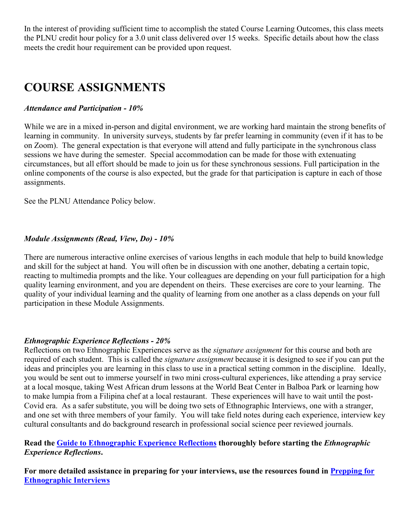In the interest of providing sufficient time to accomplish the stated Course Learning Outcomes, this class meets the PLNU credit hour policy for a 3.0 unit class delivered over 15 weeks. Specific details about how the class meets the credit hour requirement can be provided upon request.

# **COURSE ASSIGNMENTS**

### *Attendance and Participation - 10%*

While we are in a mixed in-person and digital environment, we are working hard maintain the strong benefits of learning in community. In university surveys, students by far prefer learning in community (even if it has to be on Zoom). The general expectation is that everyone will attend and fully participate in the synchronous class sessions we have during the semester. Special accommodation can be made for those with extenuating circumstances, but all effort should be made to join us for these synchronous sessions. Full participation in the online components of the course is also expected, but the grade for that participation is capture in each of those assignments.

See the PLNU Attendance Policy below.

### *Module Assignments (Read, View, Do) - 10%*

There are numerous interactive online exercises of various lengths in each module that help to build knowledge and skill for the subject at hand. You will often be in discussion with one another, debating a certain topic, reacting to multimedia prompts and the like. Your colleagues are depending on your full participation for a high quality learning environment, and you are dependent on theirs. These exercises are core to your learning. The quality of your individual learning and the quality of learning from one another as a class depends on your full participation in these Module Assignments.

### *Ethnographic Experience Reflections - 20%*

Reflections on two Ethnographic Experiences serve as the *signature assignment* for this course and both are required of each student. This is called the *signature assignment* because it is designed to see if you can put the ideas and principles you are learning in this class to use in a practical setting common in the discipline. Ideally, you would be sent out to immerse yourself in two mini cross-cultural experiences, like attending a pray service at a local mosque, taking West African drum lessons at the World Beat Center in Balboa Park or learning how to make lumpia from a Filipina chef at a local restaurant. These experiences will have to wait until the post-Covid era. As a safer substitute, you will be doing two sets of Ethnographic Interviews, one with a stranger, and one set with three members of your family. You will take field notes during each experience, interview key cultural consultants and do background research in professional social science peer reviewed journals.

### **Read the Guide to Ethnographic Experience Reflections thoroughly before starting the** *Ethnographic Experience Reflections***.**

**For more detailed assistance in preparing for your interviews, use the resources found in Prepping for Ethnographic Interviews**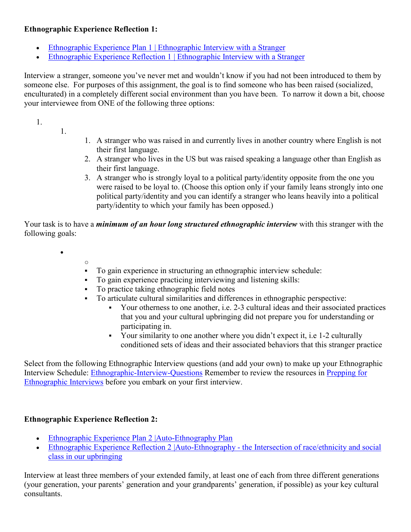## **Ethnographic Experience Reflection 1:**

- Ethnographic Experience Plan 1 | Ethnographic Interview with a Stranger
- Ethnographic Experience Reflection 1 | Ethnographic Interview with a Stranger

Interview a stranger, someone you've never met and wouldn't know if you had not been introduced to them by someone else. For purposes of this assignment, the goal is to find someone who has been raised (socialized, enculturated) in a completely different social environment than you have been. To narrow it down a bit, choose your interviewee from ONE of the following three options:

1.

- 1.
- 1. A stranger who was raised in and currently lives in another country where English is not their first language.
- 2. A stranger who lives in the US but was raised speaking a language other than English as their first language.
- 3. A stranger who is strongly loyal to a political party/identity opposite from the one you were raised to be loyal to. (Choose this option only if your family leans strongly into one political party/identity and you can identify a stranger who leans heavily into a political party/identity to which your family has been opposed.)

Your task is to have a *minimum of an hour long structured ethnographic interview* with this stranger with the following goals:

•

o

- To gain experience in structuring an ethnographic interview schedule:
- To gain experience practicing interviewing and listening skills:
- To practice taking ethnographic field notes
- To articulate cultural similarities and differences in ethnographic perspective:
	- Your otherness to one another, i.e. 2-3 cultural ideas and their associated practices that you and your cultural upbringing did not prepare you for understanding or participating in.
	- Your similarity to one another where you didn't expect it, i.e 1-2 culturally conditioned sets of ideas and their associated behaviors that this stranger practice

Select from the following Ethnographic Interview questions (and add your own) to make up your Ethnographic Interview Schedule: Ethnographic-Interview-Questions Remember to review the resources in Prepping for Ethnographic Interviews before you embark on your first interview.

## **Ethnographic Experience Reflection 2:**

- Ethnographic Experience Plan 2 |Auto-Ethnography Plan
- Ethnographic Experience Reflection 2 |Auto-Ethnography the Intersection of race/ethnicity and social class in our upbringing

Interview at least three members of your extended family, at least one of each from three different generations (your generation, your parents' generation and your grandparents' generation, if possible) as your key cultural consultants.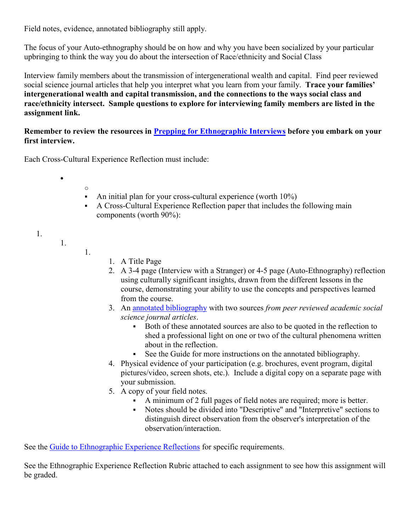Field notes, evidence, annotated bibliography still apply.

The focus of your Auto-ethnography should be on how and why you have been socialized by your particular upbringing to think the way you do about the intersection of Race/ethnicity and Social Class

Interview family members about the transmission of intergenerational wealth and capital. Find peer reviewed social science journal articles that help you interpret what you learn from your family. **Trace your families' intergenerational wealth and capital transmission, and the connections to the ways social class and race/ethnicity intersect. Sample questions to explore for interviewing family members are listed in the assignment link.**

**Remember to review the resources in Prepping for Ethnographic Interviews before you embark on your first interview.**

Each Cross-Cultural Experience Reflection must include:

- o • An initial plan for your cross-cultural experience (worth 10%)
- A Cross-Cultural Experience Reflection paper that includes the following main components (worth 90%):
- 1.
- 1.

1.

•

- 1. A Title Page
- 2. A 3-4 page (Interview with a Stranger) or 4-5 page (Auto-Ethnography) reflection using culturally significant insights, drawn from the different lessons in the course, demonstrating your ability to use the concepts and perspectives learned from the course.
- 3. An [annotated bibliography](https://guides.library.cornell.edu/annotatedbibliography) with two sources *from peer reviewed academic social science journal articles*.
	- Both of these annotated sources are also to be quoted in the reflection to shed a professional light on one or two of the cultural phenomena written about in the reflection.
	- See the Guide for more instructions on the annotated bibliography.
- 4. Physical evidence of your participation (e.g. brochures, event program, digital pictures/video, screen shots, etc.). Include a digital copy on a separate page with your submission.
- 5. A copy of your field notes.
	- A minimum of 2 full pages of field notes are required; more is better.
	- Notes should be divided into "Descriptive" and "Interpretive" sections to distinguish direct observation from the observer's interpretation of the observation/interaction.

See the Guide to Ethnographic Experience Reflections for specific requirements.

See the Ethnographic Experience Reflection Rubric attached to each assignment to see how this assignment will be graded.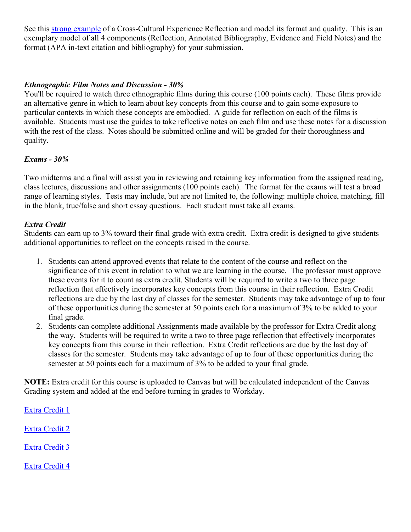See this strong example of a Cross-Cultural Experience Reflection and model its format and quality. This is an exemplary model of all 4 components (Reflection, Annotated Bibliography, Evidence and Field Notes) and the format (APA in-text citation and bibliography) for your submission.

### *Ethnographic Film Notes and Discussion - 30%*

You'll be required to watch three ethnographic films during this course (100 points each). These films provide an alternative genre in which to learn about key concepts from this course and to gain some exposure to particular contexts in which these concepts are embodied. A guide for reflection on each of the films is available. Students must use the guides to take reflective notes on each film and use these notes for a discussion with the rest of the class. Notes should be submitted online and will be graded for their thoroughness and quality.

### *Exams - 30%*

Two midterms and a final will assist you in reviewing and retaining key information from the assigned reading, class lectures, discussions and other assignments (100 points each). The format for the exams will test a broad range of learning styles. Tests may include, but are not limited to, the following: multiple choice, matching, fill in the blank, true/false and short essay questions. Each student must take all exams.

### *Extra Credit*

Students can earn up to 3% toward their final grade with extra credit. Extra credit is designed to give students additional opportunities to reflect on the concepts raised in the course.

- 1. Students can attend approved events that relate to the content of the course and reflect on the significance of this event in relation to what we are learning in the course. The professor must approve these events for it to count as extra credit. Students will be required to write a two to three page reflection that effectively incorporates key concepts from this course in their reflection. Extra Credit reflections are due by the last day of classes for the semester. Students may take advantage of up to four of these opportunities during the semester at 50 points each for a maximum of 3% to be added to your final grade.
- 2. Students can complete additional Assignments made available by the professor for Extra Credit along the way. Students will be required to write a two to three page reflection that effectively incorporates key concepts from this course in their reflection. Extra Credit reflections are due by the last day of classes for the semester. Students may take advantage of up to four of these opportunities during the semester at 50 points each for a maximum of 3% to be added to your final grade.

**NOTE:** Extra credit for this course is uploaded to Canvas but will be calculated independent of the Canvas Grading system and added at the end before turning in grades to Workday.

Extra Credit 1 Extra Credit 2 Extra Credit 3 Extra Credit 4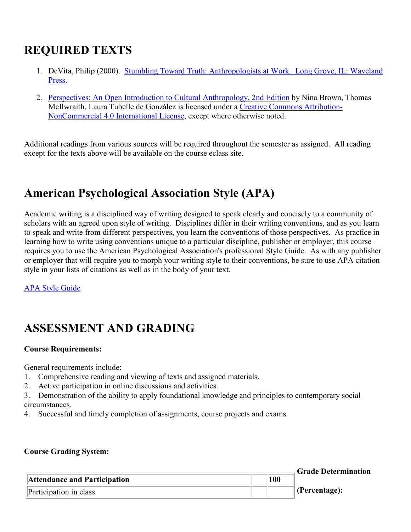# **REQUIRED TEXTS**

- 1. DeVita, Philip (2000). [Stumbling Toward Truth: Anthropologists at Work.](https://www.waveland.com/browse.php?t=169) Long Grove, IL: Waveland [Press.](https://www.waveland.com/browse.php?t=169)
- 2. [Perspectives: An Open Introduction to Cultural Anthropology, 2nd Edition](https://perspectives.pressbooks.com/) by Nina Brown, Thomas McIlwraith, Laura Tubelle de González is licensed under a [Creative Commons Attribution-](https://creativecommons.org/licenses/by-nc/4.0/)[NonCommercial 4.0 International License,](https://creativecommons.org/licenses/by-nc/4.0/) except where otherwise noted.

Additional readings from various sources will be required throughout the semester as assigned. All reading except for the texts above will be available on the course eclass site.

# **American Psychological Association Style (APA)**

Academic writing is a disciplined way of writing designed to speak clearly and concisely to a community of scholars with an agreed upon style of writing. Disciplines differ in their writing conventions, and as you learn to speak and write from different perspectives, you learn the conventions of those perspectives. As practice in learning how to write using conventions unique to a particular discipline, publisher or employer, this course requires you to use the American Psychological Association's professional Style Guide. As with any publisher or employer that will require you to morph your writing style to their conventions, be sure to use APA citation style in your lists of citations as well as in the body of your text.

[APA Style Guide](http://www.apastyle.org/)

# **ASSESSMENT AND GRADING**

### **Course Requirements:**

General requirements include:

- 1. Comprehensive reading and viewing of texts and assigned materials.
- 2. Active participation in online discussions and activities.

3. Demonstration of the ability to apply foundational knowledge and principles to contemporary social circumstances.

4. Successful and timely completion of assignments, course projects and exams.

### **Course Grading System:**

|                              |     | <b>Grade Determination</b> |
|------------------------------|-----|----------------------------|
| Attendance and Participation | 100 |                            |
| Participation in class       |     | $ $ (Percentage):          |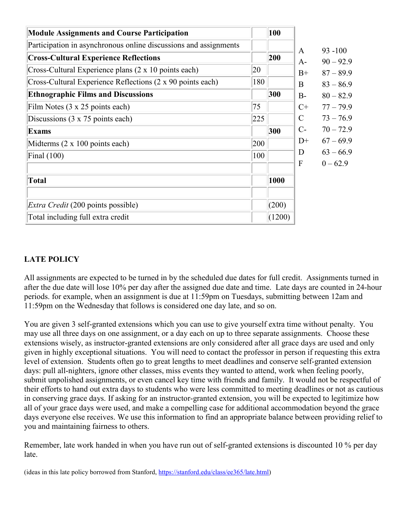| <b>Module Assignments and Course Participation</b>               |     | 100    |
|------------------------------------------------------------------|-----|--------|
| Participation in asynchronous online discussions and assignments |     |        |
| <b>Cross-Cultural Experience Reflections</b>                     |     | 200    |
| Cross-Cultural Experience plans (2 x 10 points each)             | 20  |        |
| Cross-Cultural Experience Reflections (2 x 90 points each)       | 180 |        |
| <b>Ethnographic Films and Discussions</b>                        |     | 300    |
| Film Notes (3 x 25 points each)                                  | 75  |        |
| Discussions $(3 \times 75)$ points each)                         | 225 |        |
| <b>Exams</b>                                                     |     | 300    |
| Midterms (2 x 100 points each)                                   | 200 |        |
| Final $(100)$                                                    | 100 |        |
|                                                                  |     |        |
| <b>Total</b>                                                     |     | 1000   |
|                                                                  |     |        |
| <i>Extra Credit</i> (200 points possible)                        |     | (200)  |
| Total including full extra credit                                |     | (1200) |

## **LATE POLICY**

All assignments are expected to be turned in by the scheduled due dates for full credit. Assignments turned in after the due date will lose 10% per day after the assigned due date and time. Late days are counted in 24-hour periods. for example, when an assignment is due at 11:59pm on Tuesdays, submitting between 12am and 11:59pm on the Wednesday that follows is considered one day late, and so on.

You are given 3 self-granted extensions which you can use to give yourself extra time without penalty. You may use all three days on one assignment, or a day each on up to three separate assignments. Choose these extensions wisely, as instructor-granted extensions are only considered after all grace days are used and only given in highly exceptional situations. You will need to contact the professor in person if requesting this extra level of extension. Students often go to great lengths to meet deadlines and conserve self-granted extension days: pull all-nighters, ignore other classes, miss events they wanted to attend, work when feeling poorly, submit unpolished assignments, or even cancel key time with friends and family. It would not be respectful of their efforts to hand out extra days to students who were less committed to meeting deadlines or not as cautious in conserving grace days. If asking for an instructor-granted extension, you will be expected to legitimize how all of your grace days were used, and make a compelling case for additional accommodation beyond the grace days everyone else receives. We use this information to find an appropriate balance between providing relief to you and maintaining fairness to others.

Remember, late work handed in when you have run out of self-granted extensions is discounted 10 % per day late.

(ideas in this late policy borrowed from Stanford, [https://stanford.edu/class/ee365/late.html\)](https://stanford.edu/class/ee365/late.html)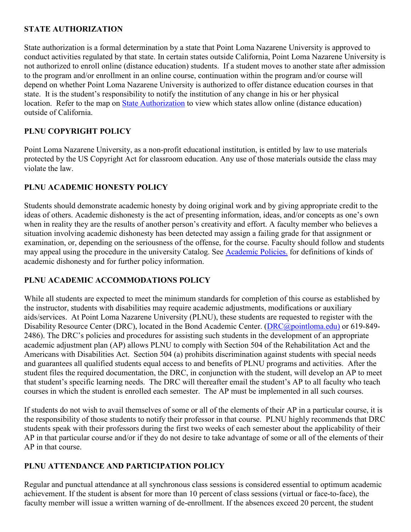## **STATE AUTHORIZATION**

State authorization is a formal determination by a state that Point Loma Nazarene University is approved to conduct activities regulated by that state. In certain states outside California, Point Loma Nazarene University is not authorized to enroll online (distance education) students. If a student moves to another state after admission to the program and/or enrollment in an online course, continuation within the program and/or course will depend on whether Point Loma Nazarene University is authorized to offer distance education courses in that state. It is the student's responsibility to notify the institution of any change in his or her physical location. Refer to the map on **[State Authorization](https://www.pointloma.edu/offices/office-institutional-effectiveness-research/disclosures)** to view which states allow online (distance education) outside of California.

### **PLNU COPYRIGHT POLICY**

Point Loma Nazarene University, as a non-profit educational institution, is entitled by law to use materials protected by the US Copyright Act for classroom education. Any use of those materials outside the class may violate the law.

### **PLNU ACADEMIC HONESTY POLICY**

Students should demonstrate academic honesty by doing original work and by giving appropriate credit to the ideas of others. Academic dishonesty is the act of presenting information, ideas, and/or concepts as one's own when in reality they are the results of another person's creativity and effort. A faculty member who believes a situation involving academic dishonesty has been detected may assign a failing grade for that assignment or examination, or, depending on the seriousness of the offense, for the course. Faculty should follow and students may appeal using the procedure in the university Catalog. See [Academic Policies.](http://catalog.pointloma.edu/content.php?catoid=18&navoid=1278) for definitions of kinds of academic dishonesty and for further policy information.

### **PLNU ACADEMIC ACCOMMODATIONS POLICY**

While all students are expected to meet the minimum standards for completion of this course as established by the instructor, students with disabilities may require academic adjustments, modifications or auxiliary aids/services. At Point Loma Nazarene University (PLNU), these students are requested to register with the Disability Resource Center (DRC), located in the Bond Academic Center. [\(DRC@pointloma.edu\)](https://mail.google.com/mail/?view=cm&fs=1&tf=1&to=DRC@pointloma.edu) or 619-849-2486). The DRC's policies and procedures for assisting such students in the development of an appropriate academic adjustment plan (AP) allows PLNU to comply with Section 504 of the Rehabilitation Act and the Americans with Disabilities Act. Section 504 (a) prohibits discrimination against students with special needs and guarantees all qualified students equal access to and benefits of PLNU programs and activities. After the student files the required documentation, the DRC, in conjunction with the student, will develop an AP to meet that student's specific learning needs. The DRC will thereafter email the student's AP to all faculty who teach courses in which the student is enrolled each semester. The AP must be implemented in all such courses.

If students do not wish to avail themselves of some or all of the elements of their AP in a particular course, it is the responsibility of those students to notify their professor in that course. PLNU highly recommends that DRC students speak with their professors during the first two weeks of each semester about the applicability of their AP in that particular course and/or if they do not desire to take advantage of some or all of the elements of their AP in that course.

### **PLNU ATTENDANCE AND PARTICIPATION POLICY**

Regular and punctual attendance at all synchronous class sessions is considered essential to optimum academic achievement. If the student is absent for more than 10 percent of class sessions (virtual or face-to-face), the faculty member will issue a written warning of de-enrollment. If the absences exceed 20 percent, the student